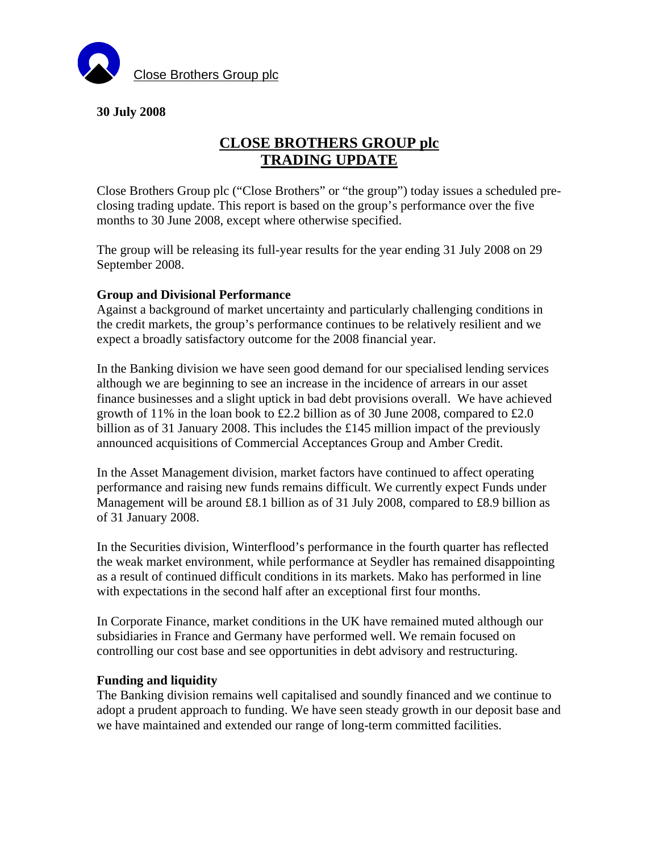

## **30 July 2008**

# **CLOSE BROTHERS GROUP plc TRADING UPDATE**

Close Brothers Group plc ("Close Brothers" or "the group") today issues a scheduled preclosing trading update. This report is based on the group's performance over the five months to 30 June 2008, except where otherwise specified.

The group will be releasing its full-year results for the year ending 31 July 2008 on 29 September 2008.

#### **Group and Divisional Performance**

Against a background of market uncertainty and particularly challenging conditions in the credit markets, the group's performance continues to be relatively resilient and we expect a broadly satisfactory outcome for the 2008 financial year.

In the Banking division we have seen good demand for our specialised lending services although we are beginning to see an increase in the incidence of arrears in our asset finance businesses and a slight uptick in bad debt provisions overall. We have achieved growth of 11% in the loan book to £2.2 billion as of 30 June 2008, compared to  $£2.0$ billion as of 31 January 2008. This includes the £145 million impact of the previously announced acquisitions of Commercial Acceptances Group and Amber Credit.

In the Asset Management division, market factors have continued to affect operating performance and raising new funds remains difficult. We currently expect Funds under Management will be around £8.1 billion as of 31 July 2008, compared to £8.9 billion as of 31 January 2008.

In the Securities division, Winterflood's performance in the fourth quarter has reflected the weak market environment, while performance at Seydler has remained disappointing as a result of continued difficult conditions in its markets. Mako has performed in line with expectations in the second half after an exceptional first four months.

In Corporate Finance, market conditions in the UK have remained muted although our subsidiaries in France and Germany have performed well. We remain focused on controlling our cost base and see opportunities in debt advisory and restructuring.

### **Funding and liquidity**

The Banking division remains well capitalised and soundly financed and we continue to adopt a prudent approach to funding. We have seen steady growth in our deposit base and we have maintained and extended our range of long-term committed facilities.